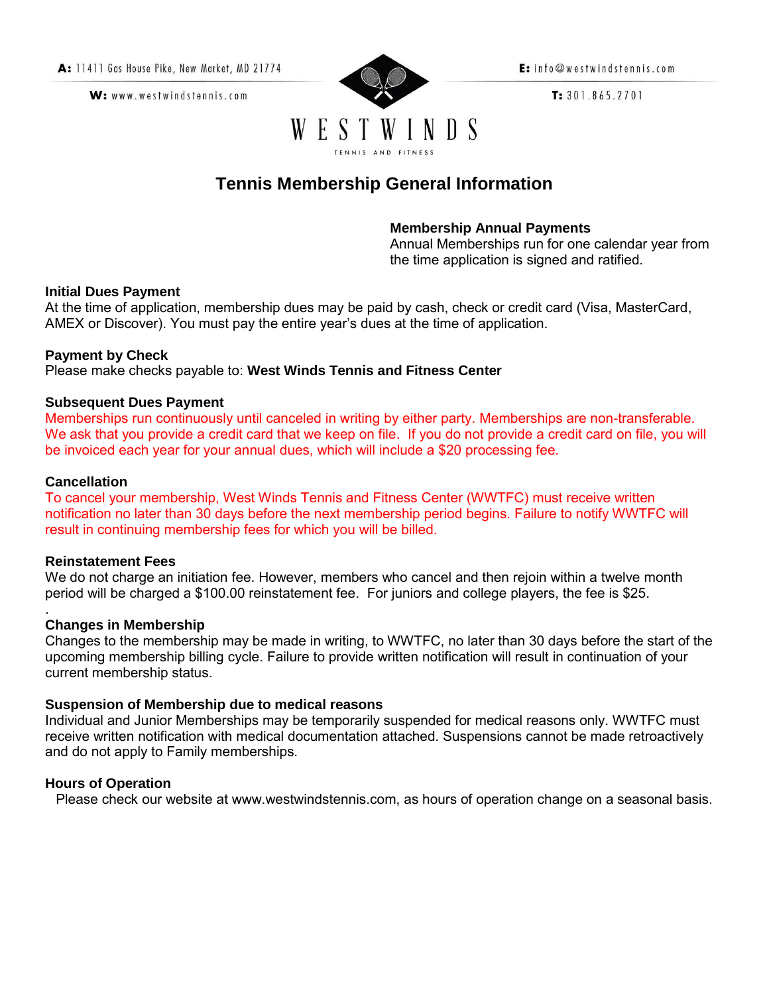W: www.westwindstennis.com



E: info@westwindstennis.com

 $T: 301.865.2701$ 

# **Tennis Membership General Information**

# **Membership Annual Payments**

Annual Memberships run for one calendar year from the time application is signed and ratified.

#### **Initial Dues Payment**

At the time of application, membership dues may be paid by cash, check or credit card (Visa, MasterCard, AMEX or Discover). You must pay the entire year's dues at the time of application.

## **Payment by Check**

Please make checks payable to: **West Winds Tennis and Fitness Center** 

## **Subsequent Dues Payment**

Memberships run continuously until canceled in writing by either party. Memberships are non-transferable. We ask that you provide a credit card that we keep on file. If you do not provide a credit card on file, you will be invoiced each year for your annual dues, which will include a \$20 processing fee.

#### **Cancellation**

To cancel your membership, West Winds Tennis and Fitness Center (WWTFC) must receive written notification no later than 30 days before the next membership period begins. Failure to notify WWTFC will result in continuing membership fees for which you will be billed.

#### **Reinstatement Fees**

We do not charge an initiation fee. However, members who cancel and then rejoin within a twelve month period will be charged a \$100.00 reinstatement fee. For juniors and college players, the fee is \$25.

#### . **Changes in Membership**

Changes to the membership may be made in writing, to WWTFC, no later than 30 days before the start of the upcoming membership billing cycle. Failure to provide written notification will result in continuation of your current membership status.

#### **Suspension of Membership due to medical reasons**

Individual and Junior Memberships may be temporarily suspended for medical reasons only. WWTFC must receive written notification with medical documentation attached. Suspensions cannot be made retroactively and do not apply to Family memberships.

#### **Hours of Operation**

Please check our website at www.westwindstennis.com, as hours of operation change on a seasonal basis.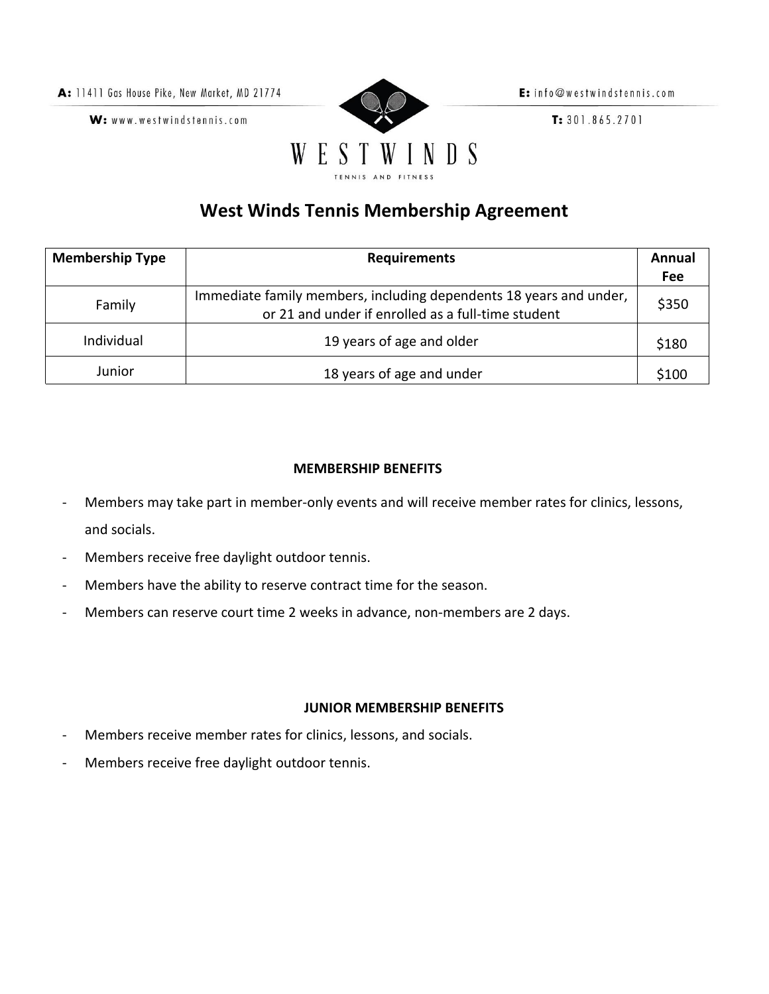A: 11411 Gas House Pike, New Market, MD 21774

W: www.westwindstennis.com



E: info@westwindstennis.com

 $T: 301.865.2701$ 

# **West Winds Tennis Membership Agreement**

| <b>Membership Type</b> | <b>Requirements</b>                                                                                                      |       |  |  |
|------------------------|--------------------------------------------------------------------------------------------------------------------------|-------|--|--|
|                        |                                                                                                                          | Fee   |  |  |
| Family                 | Immediate family members, including dependents 18 years and under,<br>or 21 and under if enrolled as a full-time student | \$350 |  |  |
| <b>Individual</b>      | 19 years of age and older                                                                                                | \$180 |  |  |
| Junior                 | 18 years of age and under                                                                                                | \$100 |  |  |

# **MEMBERSHIP BENEFITS**

- Members may take part in member-only events and will receive member rates for clinics, lessons, and socials.
- Members receive free daylight outdoor tennis.
- Members have the ability to reserve contract time for the season.
- Members can reserve court time 2 weeks in advance, non-members are 2 days.

# **JUNIOR MEMBERSHIP BENEFITS**

- Members receive member rates for clinics, lessons, and socials.
- Members receive free daylight outdoor tennis.